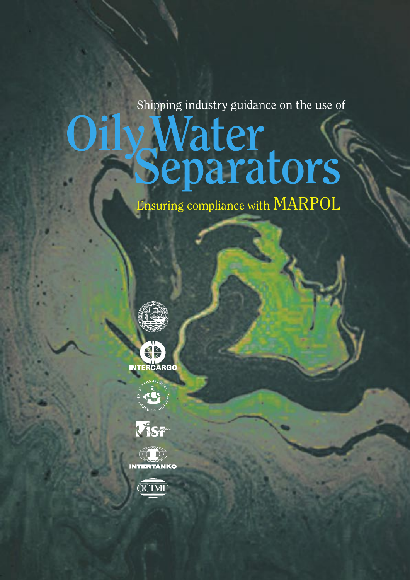Shipping industry guidance on the use of

# **Water Separators**

Ensuring compliance with MARPOL











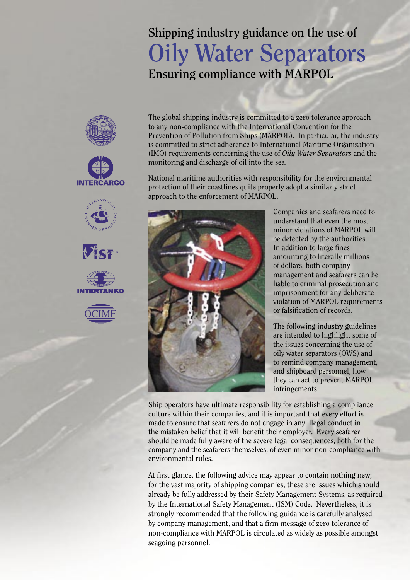# **Shipping industry guidance on the use of Oily Water Separators Ensuring compliance with MARPOL**



National maritime authorities with responsibility for the environmental protection of their coastlines quite properly adopt a similarly strict approach to the enforcement of MARPOL.



**INTERCARGO** 

Companies and seafarers need to understand that even the most minor violations of MARPOL will be detected by the authorities. In addition to large fines amounting to literally millions of dollars, both company management and seafarers can be liable to criminal prosecution and imprisonment for any deliberate violation of MARPOL requirements or falsification of records.

The following industry guidelines are intended to highlight some of the issues concerning the use of oily water separators (OWS) and to remind company management, and shipboard personnel, how they can act to prevent MARPOL infringements.

Ship operators have ultimate responsibility for establishing a compliance culture within their companies, and it is important that every effort is made to ensure that seafarers do not engage in any illegal conduct in the mistaken belief that it will benefit their employer. Every seafarer should be made fully aware of the severe legal consequences, both for the company and the seafarers themselves, of even minor non-compliance with environmental rules.

At first glance, the following advice may appear to contain nothing new; for the vast majority of shipping companies, these are issues which should already be fully addressed by their Safety Management Systems, as required by the International Safety Management (ISM) Code. Nevertheless, it is strongly recommended that the following guidance is carefully analysed by company management, and that a firm message of zero tolerance of non-compliance with MARPOL is circulated as widely as possible amongst seagoing personnel.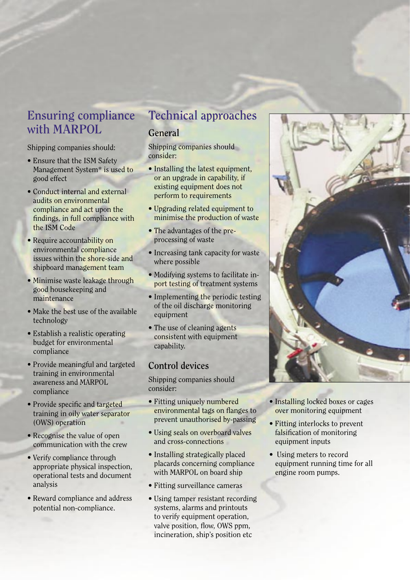### **Ensuring compliance with MARPOL**

Shipping companies should:

- Ensure that the ISM Safety Management System\* is used to good effect
- Conduct internal and external audits on environmental compliance and act upon the findings, in full compliance with the ISM Code
- Require accountability on environmental compliance issues within the shore-side and shipboard management team
- Minimise waste leakage through good housekeeping and maintenance
- Make the best use of the available technology
- Establish a realistic operating budget for environmental compliance
- Provide meaningful and targeted training in environmental awareness and MARPOL compliance
- Provide specific and targeted training in oily water separator (OWS) operation
- Recognise the value of open communication with the crew
- Verify compliance through appropriate physical inspection, operational tests and document analysis
- Reward compliance and address potential non-compliance.

### **Technical approaches**

### **General**

Shipping companies should consider:

- Installing the latest equipment, or an upgrade in capability, if existing equipment does not perform to requirements
- Upgrading related equipment to minimise the production of waste
- The advantages of the preprocessing of waste
- Increasing tank capacity for waste where possible
- Modifying systems to facilitate inport testing of treatment systems
- Implementing the periodic testing of the oil discharge monitoring equipment
- The use of cleaning agents consistent with equipment capability.

### **Control devices**

Shipping companies should consider:

- Fitting uniquely numbered environmental tags on flanges to prevent unauthorised by-passing
- Using seals on overboard valves and cross-connections
- Installing strategically placed placards concerning compliance with MARPOL on board ship
- Fitting surveillance cameras
- Using tamper resistant recording systems, alarms and printouts to verify equipment operation. valve position, flow, OWS ppm. incineration, ship's position etc



- Installing locked boxes or cages over monitoring equipment
- Fitting interlocks to prevent falsification of monitoring equipment inputs
- Using meters to record equipment running time for all engine room pumps.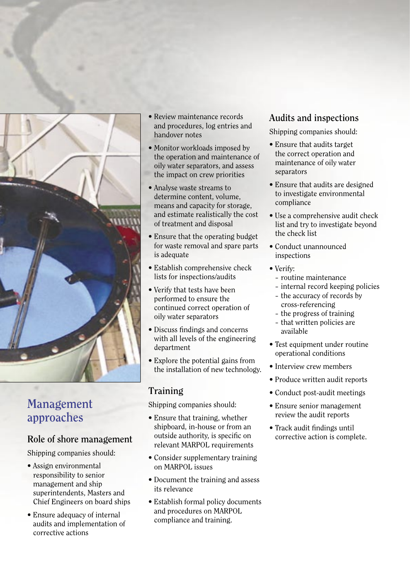

### **Management approaches**

### **Role of shore management**

Shipping companies should:

- Assign environmental responsibility to senior management and ship superintendents, Masters and Chief Engineers on board ships
- Ensure adequacy of internal audits and implementation of corrective actions
- Review maintenance records and procedures, log entries and handover notes
- Monitor workloads imposed by the operation and maintenance of oily water separators, and assess the impact on crew priorities
- Analyse waste streams to determine content, volume, means and capacity for storage, and estimate realistically the cost of treatment and disposal
- Ensure that the operating budget for waste removal and spare parts is adequate
- Establish comprehensive check lists for inspections/audits
- Verify that tests have been performed to ensure the continued correct operation of oily water separators
- Discuss findings and concerns with all levels of the engineering department
- Explore the potential gains from the installation of new technology.

### **Training**

Shipping companies should:

- Ensure that training, whether shipboard, in-house or from an outside authority, is specific on relevant MARPOL requirements
- Consider supplementary training on MARPOL issues
- Document the training and assess its relevance
- Establish formal policy documents and procedures on MARPOL compliance and training.

### **Audits and inspections**

Shipping companies should:

- Ensure that audits target the correct operation and maintenance of oily water separators
- Ensure that audits are designed to investigate environmental compliance
- Use a comprehensive audit check list and try to investigate beyond the check list
- Conduct unannounced inspections
- Verify:
	- routine maintenance
	- internal record keeping policies
	- the accuracy of records by cross-referencing
	- the progress of training
	- that written policies are available
- Test equipment under routine operational conditions
- Interview crew members
- Produce written audit reports
- Conduct post-audit meetings
- Ensure senior management review the audit reports
- Track audit findings until corrective action is complete.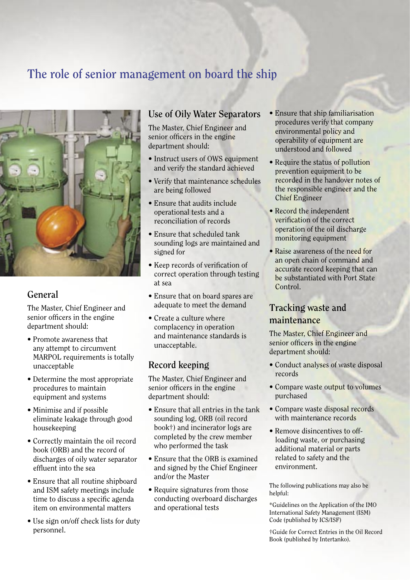## **The role of senior management on board the ship**



### **General**

The Master, Chief Engineer and senior officers in the engine department should:

- Promote awareness that any attempt to circumvent MARPOL requirements is totally unacceptable
- Determine the most appropriate procedures to maintain equipment and systems
- Minimise and if possible eliminate leakage through good housekeeping
- Correctly maintain the oil record book (ORB) and the record of discharges of oily water separator effluent into the sea
- Ensure that all routine shipboard and ISM safety meetings include time to discuss a specific agenda item on environmental matters
- Use sign on/off check lists for duty personnel.

### **Use of Oily Water Separators**

The Master, Chief Engineer and senior officers in the engine department should:

- Instruct users of OWS equipment and verify the standard achieved
- Verify that maintenance schedules are being followed
- Ensure that audits include operational tests and a reconciliation of records
- Ensure that scheduled tank sounding logs are maintained and signed for
- Keep records of verification of correct operation through testing at sea
- Ensure that on board spares are adequate to meet the demand
- Create a culture where complacency in operation and maintenance standards is unacceptable.

### **Record keeping**

The Master, Chief Engineer and senior officers in the engine department should:

- Ensure that all entries in the tank sounding log, ORB (oil record book†) and incinerator logs are completed by the crew member who performed the task
- Ensure that the ORB is examined and signed by the Chief Engineer and/or the Master
- Require signatures from those conducting overboard discharges and operational tests
- Ensure that ship familiarisation procedures verify that company environmental policy and operability of equipment are understood and followed
- Require the status of pollution prevention equipment to be recorded in the handover notes of the responsible engineer and the Chief Engineer
- Record the independent verification of the correct operation of the oil discharge monitoring equipment
- Raise awareness of the need for an open chain of command and accurate record keeping that can be substantiated with Port State Control.

### **Tracking waste and maintenance**

The Master, Chief Engineer and senior officers in the engine department should:

- Conduct analyses of waste disposal records
- Compare waste output to volumes purchased
- Compare waste disposal records with maintenance records
- Remove disincentives to offloading waste, or purchasing additional material or parts related to safety and the environment.

The following publications may also be helpful:

\*Guidelines on the Application of the IMO International Safety Management (ISM) Code (published by ICS/ISF)

†Guide for Correct Entries in the Oil Record Book (published by Intertanko).